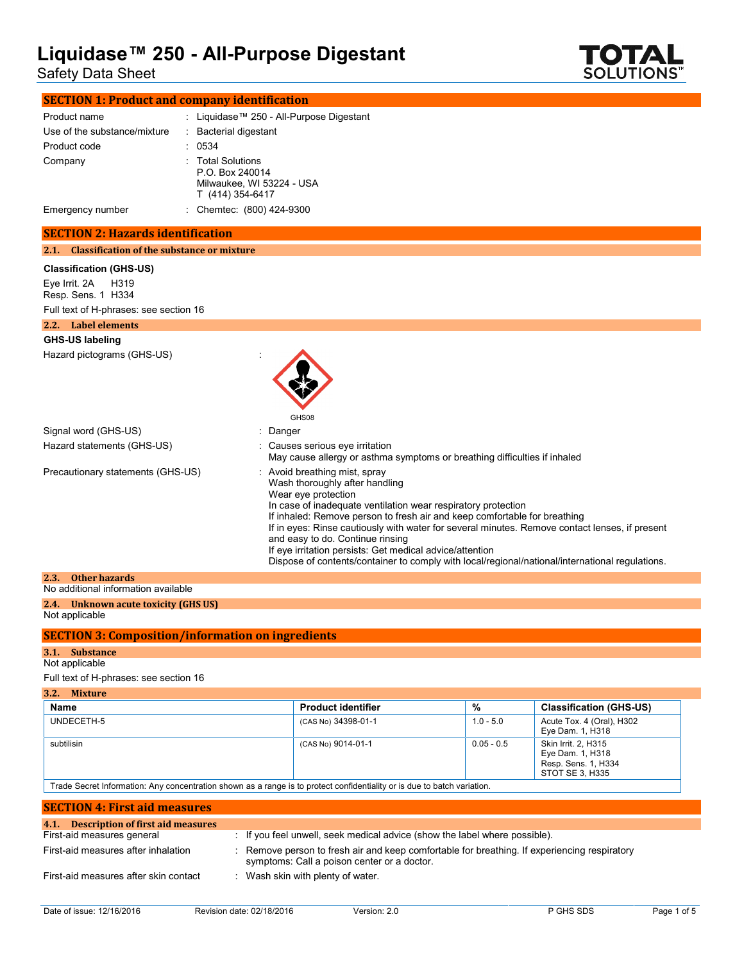Safety Data Sheet



| <b>SECTION 1: Product and company identification</b> |  |                                                                                       |
|------------------------------------------------------|--|---------------------------------------------------------------------------------------|
| Product name<br>Use of the substance/mixture         |  | : Liquidase™ 250 - All-Purpose Digestant<br>: Bacterial digestant                     |
| Product code                                         |  | 0534                                                                                  |
| Company                                              |  | : Total Solutions<br>P.O. Box 240014<br>Milwaukee, WI 53224 - USA<br>T (414) 354-6417 |
| Emergency number                                     |  | : Chemtec: (800) 424-9300                                                             |

### **SECTION 2: Hazards identification**

**2.1. Classification of the substance or mixture**

#### **Classification (GHS-US)**

Eye Irrit. 2A H319 Resp. Sens. 1 H334

Full text of H-phrases: see section 16

| Label elements<br>2.2.            |                                                                                                                                                                                                                                      |
|-----------------------------------|--------------------------------------------------------------------------------------------------------------------------------------------------------------------------------------------------------------------------------------|
| <b>GHS-US labeling</b>            |                                                                                                                                                                                                                                      |
| Hazard pictograms (GHS-US)        | GHS08                                                                                                                                                                                                                                |
| Signal word (GHS-US)              | : Danger                                                                                                                                                                                                                             |
| Hazard statements (GHS-US)        | : Causes serious eye irritation<br>May cause allergy or asthma symptoms or breathing difficulties if inhaled                                                                                                                         |
| Precautionary statements (GHS-US) | : Avoid breathing mist, spray<br>Wash thoroughly after handling<br>Wear eye protection<br>In case of inadequate ventilation wear respiratory protection<br>If inhaled: Remove person to fresh air and keep comfortable for breathing |

| If in eyes: Rinse cautiously with water for several minutes. Remove contact lenses, if present |  |
|------------------------------------------------------------------------------------------------|--|
| and easy to do. Continue rinsing                                                               |  |

If eye irritation persists: Get medical advice/attention

Dispose of contents/container to comply with local/regional/national/international regulations.

| 2.3. Other hazards                   |
|--------------------------------------|
| No additional information available  |
| 2.4. Unknown acute toxicity (GHS US) |
| Not applicable                       |

### **SECTION 3: Composition/information on ingredients**

### **3.1. Substance**

Not applicable

### Full text of H-phrases: see section 16

| 3.2.<br><b>Mixture</b> |                           |              |                                                                                   |
|------------------------|---------------------------|--------------|-----------------------------------------------------------------------------------|
| Name                   | <b>Product identifier</b> | %            | <b>Classification (GHS-US)</b>                                                    |
| UNDECETH-5             | (CAS No) 34398-01-1       | $1.0 - 5.0$  | Acute Tox. 4 (Oral), H302<br>Eye Dam. 1, H318                                     |
| subtilisin             | (CAS No) 9014-01-1        | $0.05 - 0.5$ | Skin Irrit, 2, H315<br>Eye Dam. 1, H318<br>Resp. Sens. 1, H334<br>STOT SE 3. H335 |

Trade Secret Information: Any concentration shown as a range is to protect confidentiality or is due to batch variation.

| <b>SECTION 4: First aid measures</b>   |                                                                                                                                             |
|----------------------------------------|---------------------------------------------------------------------------------------------------------------------------------------------|
| 4.1. Description of first aid measures |                                                                                                                                             |
| First-aid measures general             | : If you feel unwell, seek medical advice (show the label where possible).                                                                  |
| First-aid measures after inhalation    | : Remove person to fresh air and keep comfortable for breathing. If experiencing respiratory<br>symptoms: Call a poison center or a doctor. |
| First-aid measures after skin contact  | : Wash skin with plenty of water.                                                                                                           |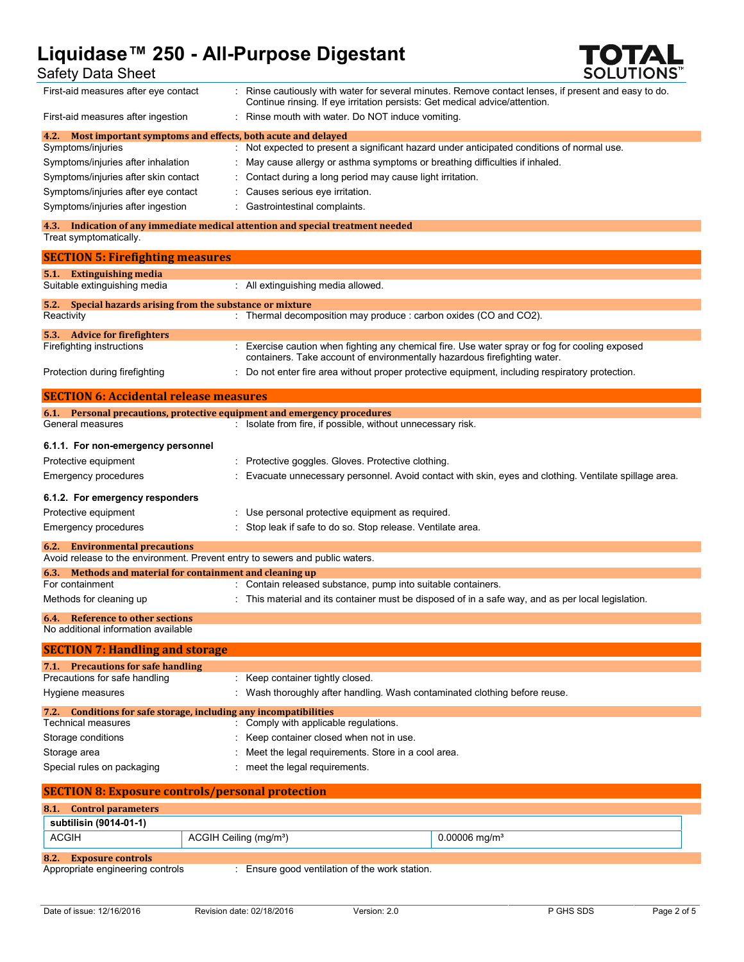### Safety Data Sheet

| First-aid measures after eye contact                                                         |                                    | : Rinse cautiously with water for several minutes. Remove contact lenses, if present and easy to do.<br>Continue rinsing. If eye irritation persists: Get medical advice/attention. |
|----------------------------------------------------------------------------------------------|------------------------------------|-------------------------------------------------------------------------------------------------------------------------------------------------------------------------------------|
| First-aid measures after ingestion                                                           |                                    | : Rinse mouth with water. Do NOT induce vomiting.                                                                                                                                   |
| Most important symptoms and effects, both acute and delayed<br>4.2.<br>Symptoms/injuries     |                                    |                                                                                                                                                                                     |
| Symptoms/injuries after inhalation                                                           |                                    | : Not expected to present a significant hazard under anticipated conditions of normal use.<br>: May cause allergy or asthma symptoms or breathing difficulties if inhaled.          |
| Symptoms/injuries after skin contact                                                         |                                    | Contact during a long period may cause light irritation.                                                                                                                            |
| Symptoms/injuries after eye contact                                                          |                                    | Causes serious eye irritation.                                                                                                                                                      |
| Symptoms/injuries after ingestion                                                            |                                    | Gastrointestinal complaints.                                                                                                                                                        |
|                                                                                              |                                    | 4.3. Indication of any immediate medical attention and special treatment needed                                                                                                     |
| Treat symptomatically.                                                                       |                                    |                                                                                                                                                                                     |
| <b>SECTION 5: Firefighting measures</b>                                                      |                                    |                                                                                                                                                                                     |
| 5.1. Extinguishing media                                                                     |                                    |                                                                                                                                                                                     |
| Suitable extinguishing media                                                                 |                                    | : All extinguishing media allowed.                                                                                                                                                  |
| Special hazards arising from the substance or mixture<br>5.2.<br>Reactivity                  |                                    | : Thermal decomposition may produce : carbon oxides (CO and CO2).                                                                                                                   |
|                                                                                              |                                    |                                                                                                                                                                                     |
| 5.3. Advice for firefighters<br>Firefighting instructions                                    |                                    | : Exercise caution when fighting any chemical fire. Use water spray or fog for cooling exposed                                                                                      |
|                                                                                              |                                    | containers. Take account of environmentally hazardous firefighting water.                                                                                                           |
| Protection during firefighting                                                               |                                    | : Do not enter fire area without proper protective equipment, including respiratory protection.                                                                                     |
|                                                                                              |                                    |                                                                                                                                                                                     |
| <b>SECTION 6: Accidental release measures</b>                                                |                                    |                                                                                                                                                                                     |
| 6.1. Personal precautions, protective equipment and emergency procedures<br>General measures |                                    | : Isolate from fire, if possible, without unnecessary risk.                                                                                                                         |
|                                                                                              |                                    |                                                                                                                                                                                     |
| 6.1.1. For non-emergency personnel                                                           |                                    |                                                                                                                                                                                     |
| Protective equipment                                                                         |                                    | : Protective goggles. Gloves. Protective clothing.                                                                                                                                  |
| Emergency procedures                                                                         |                                    | Evacuate unnecessary personnel. Avoid contact with skin, eyes and clothing. Ventilate spillage area.                                                                                |
| 6.1.2. For emergency responders                                                              |                                    |                                                                                                                                                                                     |
| Protective equipment                                                                         |                                    | Use personal protective equipment as required.                                                                                                                                      |
| Emergency procedures                                                                         |                                    | Stop leak if safe to do so. Stop release. Ventilate area.                                                                                                                           |
| <b>Environmental precautions</b><br>6.2.                                                     |                                    |                                                                                                                                                                                     |
| Avoid release to the environment. Prevent entry to sewers and public waters.                 |                                    |                                                                                                                                                                                     |
| Methods and material for containment and cleaning up<br>6.3.                                 |                                    |                                                                                                                                                                                     |
| For containment                                                                              |                                    | : Contain released substance, pump into suitable containers.                                                                                                                        |
| Methods for cleaning up                                                                      |                                    | : This material and its container must be disposed of in a safe way, and as per local legislation.                                                                                  |
| 6.4. Reference to other sections                                                             |                                    |                                                                                                                                                                                     |
| No additional information available                                                          |                                    |                                                                                                                                                                                     |
| <b>SECTION 7: Handling and storage</b>                                                       |                                    |                                                                                                                                                                                     |
| 7.1. Precautions for safe handling<br>Precautions for safe handling                          |                                    |                                                                                                                                                                                     |
| Hygiene measures                                                                             |                                    | : Keep container tightly closed.<br>Wash thoroughly after handling. Wash contaminated clothing before reuse.                                                                        |
|                                                                                              |                                    |                                                                                                                                                                                     |
| 7.2. Conditions for safe storage, including any incompatibilities<br>Technical measures      |                                    | : Comply with applicable regulations.                                                                                                                                               |
| Storage conditions                                                                           |                                    | Keep container closed when not in use.                                                                                                                                              |
| Storage area                                                                                 |                                    | Meet the legal requirements. Store in a cool area.                                                                                                                                  |
| Special rules on packaging                                                                   |                                    | meet the legal requirements.                                                                                                                                                        |
|                                                                                              |                                    |                                                                                                                                                                                     |
| <b>SECTION 8: Exposure controls/personal protection</b>                                      |                                    |                                                                                                                                                                                     |
| 8.1. Control parameters                                                                      |                                    |                                                                                                                                                                                     |
| subtilisin (9014-01-1)                                                                       |                                    |                                                                                                                                                                                     |
| <b>ACGIH</b>                                                                                 | ACGIH Ceiling (mg/m <sup>3</sup> ) | $0.00006$ mg/m <sup>3</sup>                                                                                                                                                         |
| <b>Exposure controls</b><br>8.2.<br>Appropriate engineering controls                         |                                    | : Ensure good ventilation of the work station.                                                                                                                                      |

**TOTAL**<br>SOLUTIONS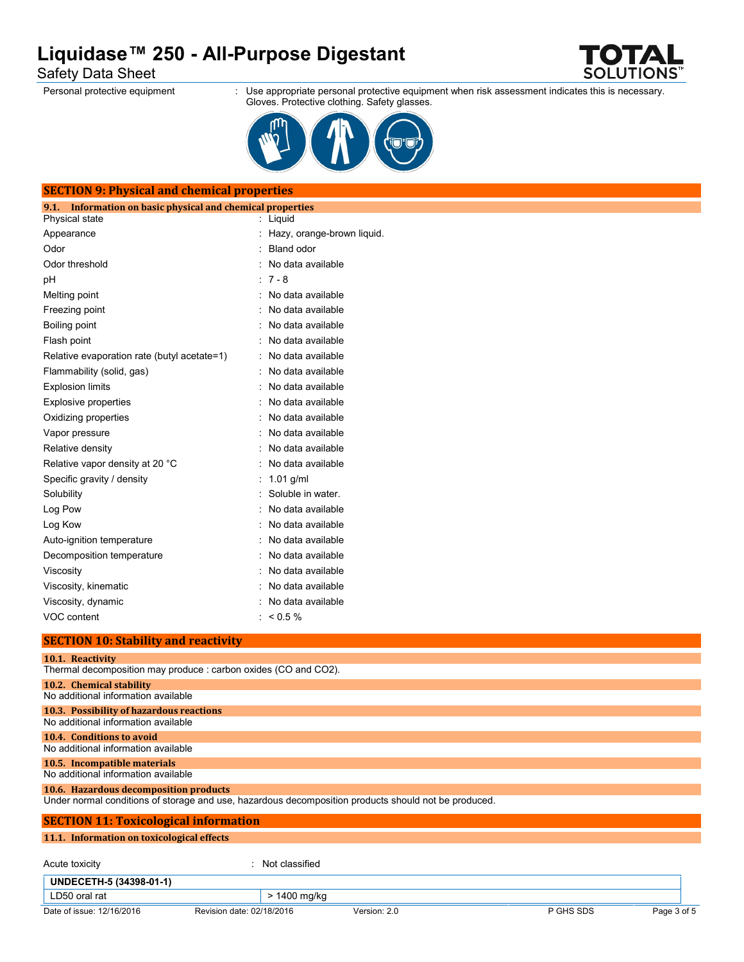Safety Data Sheet

Personal protective equipment : Use appropriate personal protective equipment when risk assessment indicates this is necessary. Gloves. Protective clothing. Safety glasses.

OTFAN **SOLUTIONS** 



| Information on basic physical and chemical properties<br>9.1.                       |                            |
|-------------------------------------------------------------------------------------|----------------------------|
| Physical state                                                                      | : Liquid                   |
| Appearance                                                                          | Hazy, orange-brown liquid. |
| Odor                                                                                | <b>Bland odor</b>          |
| Odor threshold                                                                      | No data available          |
| pH                                                                                  | $: 7 - 8$                  |
| Melting point                                                                       | No data available          |
| Freezing point                                                                      | No data available          |
| Boiling point                                                                       | No data available          |
| Flash point                                                                         | No data available          |
| Relative evaporation rate (butyl acetate=1)                                         | No data available          |
| Flammability (solid, gas)                                                           | No data available          |
| <b>Explosion limits</b>                                                             | No data available          |
| <b>Explosive properties</b>                                                         | No data available          |
| Oxidizing properties                                                                | No data available          |
| Vapor pressure                                                                      | No data available          |
| Relative density                                                                    | No data available          |
| Relative vapor density at 20 °C                                                     | No data available          |
| Specific gravity / density                                                          | : $1.01$ g/ml              |
| Solubility                                                                          | : Soluble in water.        |
| Log Pow                                                                             | No data available          |
| Log Kow                                                                             | No data available          |
| Auto-ignition temperature                                                           | No data available          |
| Decomposition temperature                                                           | No data available          |
| Viscosity                                                                           | No data available          |
| Viscosity, kinematic                                                                | No data available          |
| Viscosity, dynamic                                                                  | No data available          |
| VOC content                                                                         | $: 60.5\%$                 |
| <b>SECTION 10: Stability and reactivity</b>                                         |                            |
| 10.1. Reactivity<br>Thermal decomposition may produce : carbon oxides (CO and CO2). |                            |
|                                                                                     |                            |
| 10.2. Chemical stability<br>No additional information available                     |                            |

No additional information available **10.6. Hazardous decomposition products** Under normal conditions of storage and use, hazardous decomposition products should not be produced. **SECTION 11: Toxicological information 11.1. Information on toxicological effects** Acute toxicity in the contract of the classified in the classified in the classified in the classified in the classified in the classified in the classified in the classified in the classified in the classified in the clas **UNDECETH-5 (34398-01-1)** LD50 oral rat  $\vert$  > 1400 mg/kg

No additional information available **10.4. Conditions to avoid** No additional information available **10.5. Incompatible materials**

Date of issue: 12/16/2016 Revision date: 02/18/2016 Version: 2.0 P GHS SDS Page 3 of 5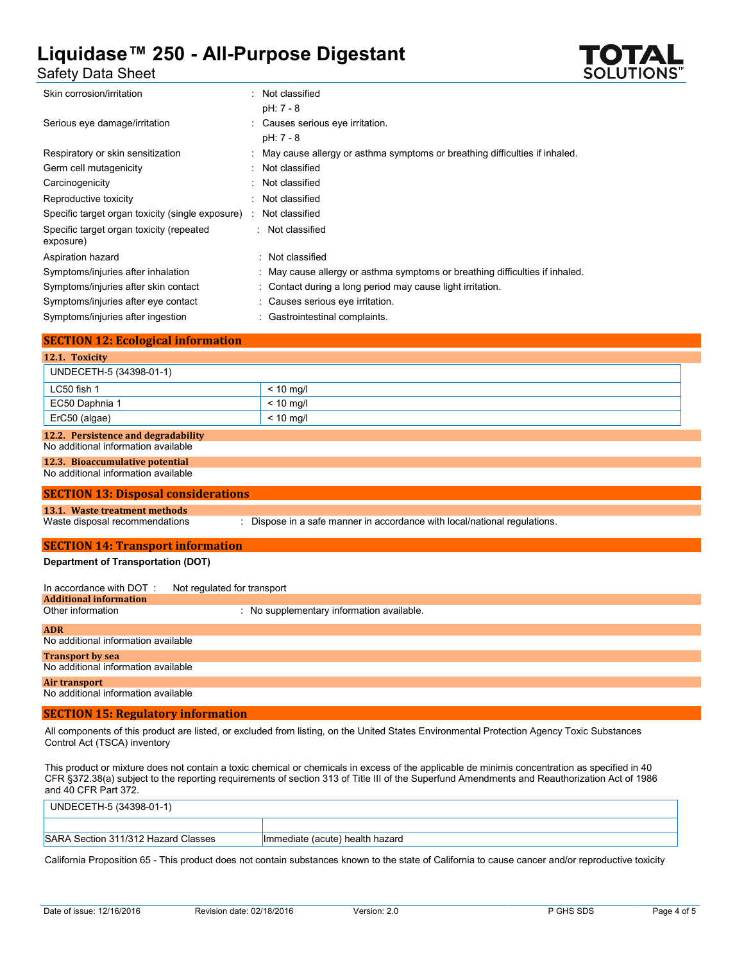

### Safety Data Sheet

| Skin corrosion/irritation                             | : Not classified                                                             |
|-------------------------------------------------------|------------------------------------------------------------------------------|
|                                                       | $pH: 7 - 8$                                                                  |
| Serious eye damage/irritation                         | : Causes serious eye irritation.                                             |
|                                                       | $pH: 7 - 8$                                                                  |
| Respiratory or skin sensitization                     | : May cause allergy or asthma symptoms or breathing difficulties if inhaled. |
| Germ cell mutagenicity                                | : Not classified                                                             |
| Carcinogenicity                                       | : Not classified                                                             |
| Reproductive toxicity                                 | : Not classified                                                             |
| Specific target organ toxicity (single exposure)      | Not classified                                                               |
| Specific target organ toxicity (repeated<br>exposure) | : Not classified                                                             |
| Aspiration hazard                                     | : Not classified                                                             |
| Symptoms/injuries after inhalation                    | : May cause allergy or asthma symptoms or breathing difficulties if inhaled. |
| Symptoms/injuries after skin contact                  | : Contact during a long period may cause light irritation.                   |
| Symptoms/injuries after eye contact                   | : Causes serious eye irritation.                                             |
| Symptoms/injuries after ingestion                     | Gastrointestinal complaints.                                                 |

| <b>SECTION 12: Ecological information</b> |             |  |
|-------------------------------------------|-------------|--|
| 12.1. Toxicity                            |             |  |
| UNDECETH-5 (34398-01-1)                   |             |  |
| LC50 fish 1                               | $< 10$ mg/l |  |
| EC50 Daphnia 1                            | $< 10$ mg/l |  |
| ErC50 (algae)                             | $< 10$ mg/l |  |
| 12.2. Persistence and degradability       |             |  |

#### No additional information available

#### **12.3. Bioaccumulative potential**

No additional information available

#### **SECTION 13: Disposal considerations**

**13.1. Waste treatment methods**

: Dispose in a safe manner in accordance with local/national regulations.

### **SECTION 14: Transport information**

#### **Department of Transportation (DOT)**

| In accordance with DOT:             | Not regulated for transport               |
|-------------------------------------|-------------------------------------------|
| <b>Additional information</b>       |                                           |
| Other information                   | : No supplementary information available. |
| <b>ADR</b>                          |                                           |
| No additional information available |                                           |
| <b>Transport by sea</b>             |                                           |
| No additional information available |                                           |
| Air transport                       |                                           |

No additional information available

#### **SECTION 15: Regulatory information**

All components of this product are listed, or excluded from listing, on the United States Environmental Protection Agency Toxic Substances Control Act (TSCA) inventory

This product or mixture does not contain a toxic chemical or chemicals in excess of the applicable de minimis concentration as specified in 40 CFR §372.38(a) subject to the reporting requirements of section 313 of Title III of the Superfund Amendments and Reauthorization Act of 1986 and 40 CFR Part 372.

| UNDECETH-5 (34398-01-1)             |                                 |
|-------------------------------------|---------------------------------|
|                                     |                                 |
| SARA Section 311/312 Hazard Classes | Immediate (acute) health hazard |

California Proposition 65 - This product does not contain substances known to the state of California to cause cancer and/or reproductive toxicity